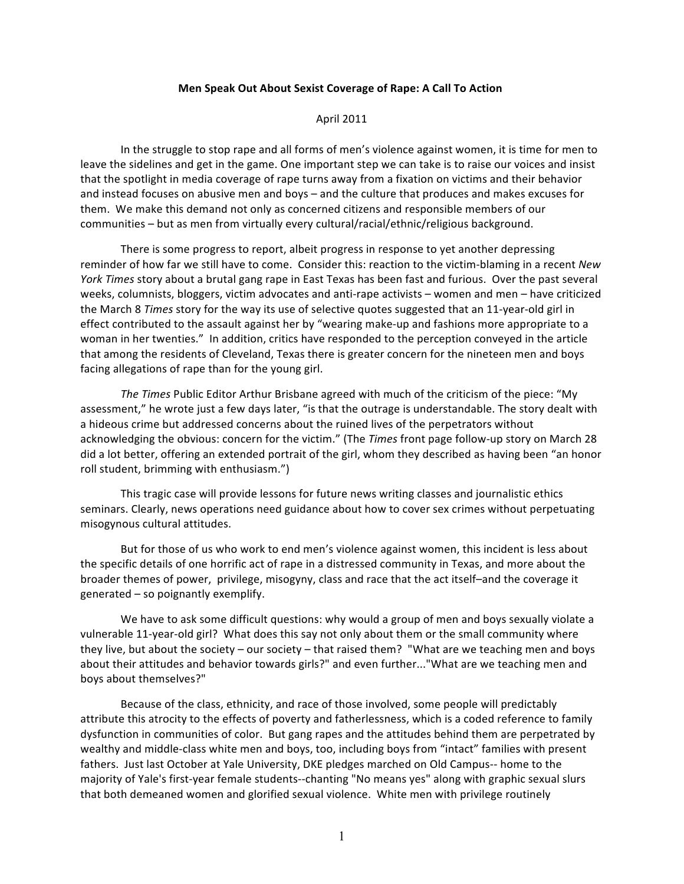## **Men
Speak
Out
About
Sexist
Coverage
of
Rape:
A
Call
To
Action**

## April
2011

In the struggle to stop rape and all forms of men's violence against women, it is time for men to leave the sidelines and get in the game. One important step we can take is to raise our voices and insist that the spotlight in media coverage of rape turns away from a fixation on victims and their behavior and
instead
focuses
on
abusive
men
and
boys
–
and
the
culture
that
produces
and
makes
excuses
for them. We make this demand not only as concerned citizens and responsible members of our communities - but as men from virtually every cultural/racial/ethnic/religious background.

There
is
some
progress
to
report,
albeit
progress
in
response
to
yet
another
depressing reminder of how far we still have to come. Consider this: reaction to the victim-blaming in a recent New *York Times* story about a brutal gang rape in East Texas has been fast and furious. Over the past several weeks, columnists, bloggers, victim advocates and anti-rape activists - women and men - have criticized the March 8 *Times* story for the way its use of selective quotes suggested that an 11-year-old girl in effect contributed to the assault against her by "wearing make-up and fashions more appropriate to a woman in her twenties." In addition, critics have responded to the perception conveyed in the article that among the residents of Cleveland, Texas there is greater concern for the nineteen men and boys facing allegations of rape than for the young girl.

The Times Public Editor Arthur Brisbane agreed with much of the criticism of the piece: "My assessment," he wrote just a few days later, "is that the outrage is understandable. The story dealt with a hideous crime but addressed concerns about the ruined lives of the perpetrators without acknowledging the obvious: concern for the victim." (The *Times* front page follow-up story on March 28 did a lot better, offering an extended portrait of the girl, whom they described as having been "an honor roll
student,
brimming
with
enthusiasm.")

This
tragic
case
will
provide
lessons
for
future
news
writing
classes
and
journalistic
ethics seminars.
Clearly,
news
operations
need
guidance
about
how
to
cover
sex
crimes
without
perpetuating misogynous
cultural
attitudes.

But for those of us who work to end men's violence against women, this incident is less about the specific details of one horrific act of rape in a distressed community in Texas, and more about the broader
themes
of
power, privilege,
misogyny,
class
and
race
that
the
act
itself–and
the
coverage
it generated
–
so
poignantly
exemplify.

We have to ask some difficult questions: why would a group of men and boys sexually violate a vulnerable 11-year-old girl? What does this say not only about them or the small community where they live, but about the society - our society - that raised them? "What are we teaching men and boys about their attitudes and behavior towards girls?" and even further..."What are we teaching men and boys
about
themselves?"

Because of the class, ethnicity, and race of those involved, some people will predictably attribute this atrocity to the effects of poverty and fatherlessness, which is a coded reference to family dysfunction in communities of color. But gang rapes and the attitudes behind them are perpetrated by wealthy and middle-class white men and boys, too, including boys from "intact" families with present fathers. Just last October at Yale University, DKE pledges marched on Old Campus-- home to the majority of Yale's first-year female students--chanting "No means yes" along with graphic sexual slurs that
both
demeaned
women
and
glorified
sexual
violence. White
men
with
privilege
routinely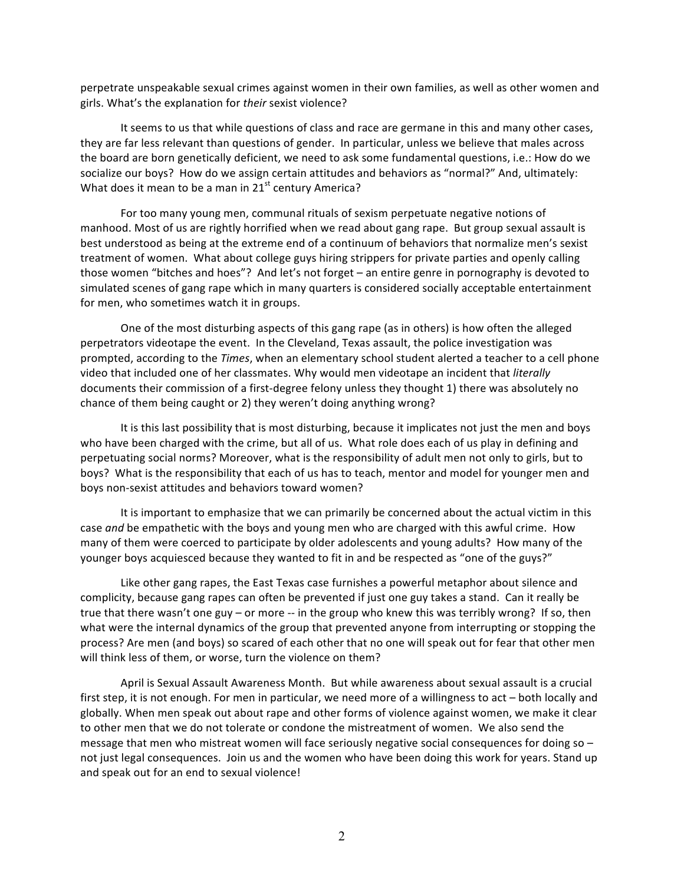perpetrate unspeakable sexual crimes against women in their own families, as well as other women and girls.
What's
the
explanation
for*their*sexist
violence?

It seems to us that while questions of class and race are germane in this and many other cases, they are far less relevant than questions of gender. In particular, unless we believe that males across the
board
are
born
genetically
deficient,
we
need
to
ask
some
fundamental
questions,
i.e.:
How
do
we socialize our boys? How do we assign certain attitudes and behaviors as "normal?" And, ultimately: What does it mean to be a man in 21<sup>st</sup> century America?

For too many young men, communal rituals of sexism perpetuate negative notions of manhood. Most of us are rightly horrified when we read about gang rape. But group sexual assault is best understood as being at the extreme end of a continuum of behaviors that normalize men's sexist treatment of women. What about college guys hiring strippers for private parties and openly calling those women "bitches and hoes"? And let's not forget – an entire genre in pornography is devoted to simulated scenes of gang rape which in many quarters is considered socially acceptable entertainment for
men,
who
sometimes
watch
it
in
groups.

One of the most disturbing aspects of this gang rape (as in others) is how often the alleged perpetrators videotape the event. In the Cleveland, Texas assault, the police investigation was prompted, according to the *Times*, when an elementary school student alerted a teacher to a cell phone video that included one of her classmates. Why would men videotape an incident that *literally* documents their commission of a first-degree felony unless they thought 1) there was absolutely no chance
of
them
being
caught
or
2)
they
weren't
doing
anything
wrong?

It is this last possibility that is most disturbing, because it implicates not just the men and boys who have been charged with the crime, but all of us. What role does each of us play in defining and perpetuating social norms? Moreover, what is the responsibility of adult men not only to girls, but to boys? What is the responsibility that each of us has to teach, mentor and model for younger men and boys
non‐sexist
attitudes
and
behaviors
toward
women?

It is important to emphasize that we can primarily be concerned about the actual victim in this case and be empathetic with the boys and young men who are charged with this awful crime. How many of them were coerced to participate by older adolescents and young adults? How many of the younger boys acquiesced because they wanted to fit in and be respected as "one of the guys?"

Like other gang rapes, the East Texas case furnishes a powerful metaphor about silence and complicity,
because
gang
rapes
can
often
be
prevented
if
just
one
guy
takes
a
stand. Can
it
really
be true that there wasn't one guy - or more -- in the group who knew this was terribly wrong? If so, then what were the internal dynamics of the group that prevented anyone from interrupting or stopping the process?
Are
men
(and
boys)
so
scared
of
each
other
that
no
one
will
speak
out
for
fear
that
other
men will think less of them, or worse, turn the violence on them?

April is Sexual Assault Awareness Month. But while awareness about sexual assault is a crucial first step, it is not enough. For men in particular, we need more of a willingness to act – both locally and globally. When men speak out about rape and other forms of violence against women, we make it clear to other men that we do not tolerate or condone the mistreatment of women. We also send the message that men who mistreat women will face seriously negative social consequences for doing so not just legal consequences. Join us and the women who have been doing this work for years. Stand up and speak out for an end to sexual violence!